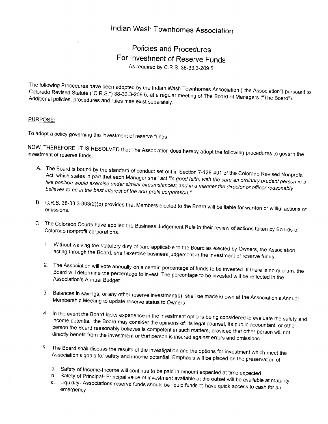## lndian Wash Townhomes Association

## Policies and Procedures For lnvestment of Reserve Funds As required by C, R.S. 38\_33,3\_209.5

The following Procedures have been adopted by the Indian Wash Townhomes Association ("the Association") pursuant to Additional policies, procedures and rules may exist separately. Colorado Revised Statute ("C.R.S.") 38-33.3-209.5, at a regular meeting of The Board of Managers ("The Board").

## PURPOSE:

To adopt a policy governing the investment of reserve funds

 $\epsilon$ 

NOW, THEREFORE, IT IS RESOLVED that The Association does hereby adopt the following procedures to govern the investment of reserve funds:

- Act, which states in part that each Manager shall act "in good faith, with the care an ordinary prudent person in a believes to be in the best interest of the non-profit corporation." like position would exercise under similar circumstances; and in a manner the director or officer reasonably A. The Board is bound by the standard of conduct set out in Section 7-128-401 of the Colorado Revised Nonprofit
- C.R.S. 38-33.3-303(2)(b) provides B. C.R.S. 38-33.3-303(2)(b) provides that Members elected to the Board will be liable for wanton or willful actions or<br>omissions.
- The colorado courts have applied the Business Judgement Rule in their review of actions taken by Boards of corporations. C.Colorado nonproflt
	- 1. Without waiving the statutory duty of care applicable to the Board as elected by Owners, the Association, acting through the Board, shall exercise business judgement in the investment of reserve funds
	- 2. The Association will vote annually on a certain percentage of funds to be invested. If there is no quorum, the Board will determine the percentage to invest. The percentage to be invested will be reflected in the Associ
	- 3. Balances in savings, or any other reserve investment(s), shall be made known at the Association's Annual<br>Membership Meeting to update reserve status to Owners Membership Meeting
	- 4. In the event the Board lacks experience in the investment options being considered to evaluate the safety and income potential, the Board may consider the opinions of: its legal counsel, its public accountant, or other person the Board reasonably believes is competent in such matters, provided that other person will not directly benefit from the investment or that person is insured against errors and omissions.
	- 5. The Board shall discuss the results of the investigation and the options for investment which meet the Association's The Board shall discuss the results of the investigation and the options for investment which meet the<br>Association's goals for safety and income potential. Emphasis will be placed on the preservation of:
		- a. Safety of Income-Income will continue to be paid in amount expected at time expected
		- b. Safety of Principal- Principal value of investment available at the outset will be available at maturity.<br>c. Liquidity- Associations reserve funds should be liquid funds to have quick access to cash for an emergency
		- c. Liquidity- Associations reserve funds should be liquid funds to have quick access to cash for an